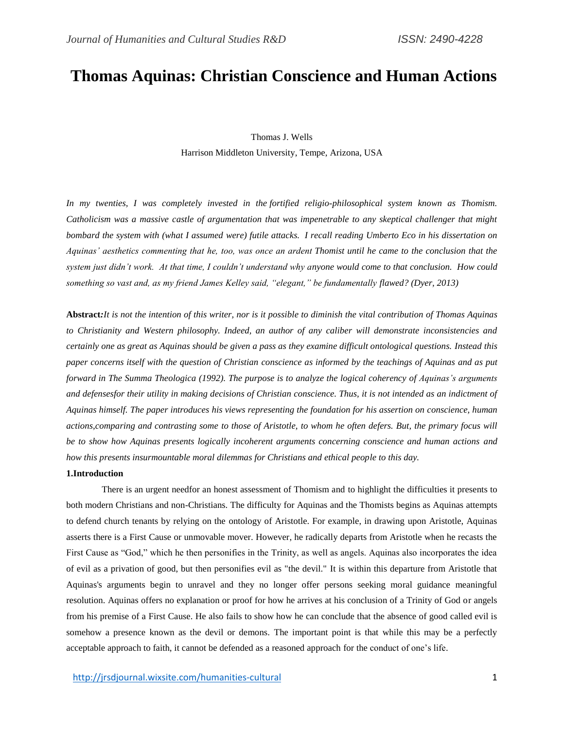# **Thomas Aquinas: Christian Conscience and Human Actions**

Thomas J. Wells Harrison Middleton University, Tempe, Arizona, USA

*In my twenties, I was completely invested in the fortified religio-philosophical system known as Thomism. Catholicism was a massive castle of argumentation that was impenetrable to any skeptical challenger that might bombard the system with (what I assumed were) futile attacks. I recall reading Umberto Eco in his dissertation on Aquinas' aesthetics commenting that he, too, was once an ardent Thomist until he came to the conclusion that the system just didn't work. At that time, I couldn't understand why anyone would come to that conclusion. How could something so vast and, as my friend James Kelley said, "elegant," be fundamentally flawed? (Dyer, 2013)*

**Abstract***:It is not the intention of this writer, nor is it possible to diminish the vital contribution of Thomas Aquinas to Christianity and Western philosophy. Indeed, an author of any caliber will demonstrate inconsistencies and certainly one as great as Aquinas should be given a pass as they examine difficult ontological questions. Instead this paper concerns itself with the question of Christian conscience as informed by the teachings of Aquinas and as put forward in The Summa Theologica (1992). The purpose is to analyze the logical coherency of Aquinas's arguments and defensesfor their utility in making decisions of Christian conscience. Thus, it is not intended as an indictment of Aquinas himself. The paper introduces his views representing the foundation for his assertion on conscience, human actions,comparing and contrasting some to those of Aristotle, to whom he often defers. But, the primary focus will be to show how Aquinas presents logically incoherent arguments concerning conscience and human actions and how this presents insurmountable moral dilemmas for Christians and ethical people to this day.* 

#### **1.Introduction**

There is an urgent needfor an honest assessment of Thomism and to highlight the difficulties it presents to both modern Christians and non-Christians. The difficulty for Aquinas and the Thomists begins as Aquinas attempts to defend church tenants by relying on the ontology of Aristotle. For example, in drawing upon Aristotle, Aquinas asserts there is a First Cause or unmovable mover. However, he radically departs from Aristotle when he recasts the First Cause as "God," which he then personifies in the Trinity, as well as angels. Aquinas also incorporates the idea of evil as a privation of good, but then personifies evil as "the devil." It is within this departure from Aristotle that Aquinas's arguments begin to unravel and they no longer offer persons seeking moral guidance meaningful resolution. Aquinas offers no explanation or proof for how he arrives at his conclusion of a Trinity of God or angels from his premise of a First Cause. He also fails to show how he can conclude that the absence of good called evil is somehow a presence known as the devil or demons. The important point is that while this may be a perfectly acceptable approach to faith, it cannot be defended as a reasoned approach for the conduct of one's life.

<http://jrsdjournal.wixsite.com/humanities-cultural> 1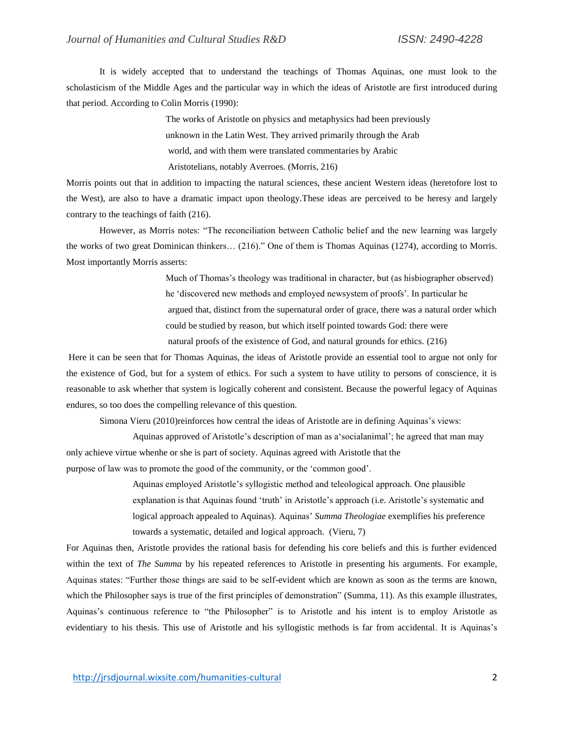It is widely accepted that to understand the teachings of Thomas Aquinas, one must look to the scholasticism of the Middle Ages and the particular way in which the ideas of Aristotle are first introduced during that period. According to Colin Morris (1990):

> The works of Aristotle on physics and metaphysics had been previously unknown in the Latin West. They arrived primarily through the Arab world, and with them were translated commentaries by Arabic Aristotelians, notably Averroes. (Morris, 216)

Morris points out that in addition to impacting the natural sciences, these ancient Western ideas (heretofore lost to the West), are also to have a dramatic impact upon theology.These ideas are perceived to be heresy and largely contrary to the teachings of faith (216).

However, as Morris notes: "The reconciliation between Catholic belief and the new learning was largely the works of two great Dominican thinkers… (216)." One of them is Thomas Aquinas (1274), according to Morris. Most importantly Morris asserts:

> Much of Thomas's theology was traditional in character, but (as hisbiographer observed) he 'discovered new methods and employed newsystem of proofs'. In particular he argued that, distinct from the supernatural order of grace, there was a natural order which could be studied by reason, but which itself pointed towards God: there were natural proofs of the existence of God, and natural grounds for ethics. (216)

Here it can be seen that for Thomas Aquinas, the ideas of Aristotle provide an essential tool to argue not only for the existence of God, but for a system of ethics. For such a system to have utility to persons of conscience, it is reasonable to ask whether that system is logically coherent and consistent. Because the powerful legacy of Aquinas endures, so too does the compelling relevance of this question.

Simona Vieru (2010)reinforces how central the ideas of Aristotle are in defining Aquinas's views:

Aquinas approved of Aristotle's description of man as a'socialanimal'; he agreed that man may only achieve virtue whenhe or she is part of society. Aquinas agreed with Aristotle that the purpose of law was to promote the good of the community, or the 'common good'.

> Aquinas employed Aristotle's syllogistic method and teleological approach. One plausible explanation is that Aquinas found 'truth' in Aristotle's approach (i.e. Aristotle's systematic and logical approach appealed to Aquinas). Aquinas' *Summa Theologiae* exemplifies his preference towards a systematic, detailed and logical approach. (Vieru, 7)

For Aquinas then, Aristotle provides the rational basis for defending his core beliefs and this is further evidenced within the text of *The Summa* by his repeated references to Aristotle in presenting his arguments. For example, Aquinas states: "Further those things are said to be self-evident which are known as soon as the terms are known, which the Philosopher says is true of the first principles of demonstration" (Summa, 11). As this example illustrates, Aquinas's continuous reference to "the Philosopher" is to Aristotle and his intent is to employ Aristotle as evidentiary to his thesis. This use of Aristotle and his syllogistic methods is far from accidental. It is Aquinas's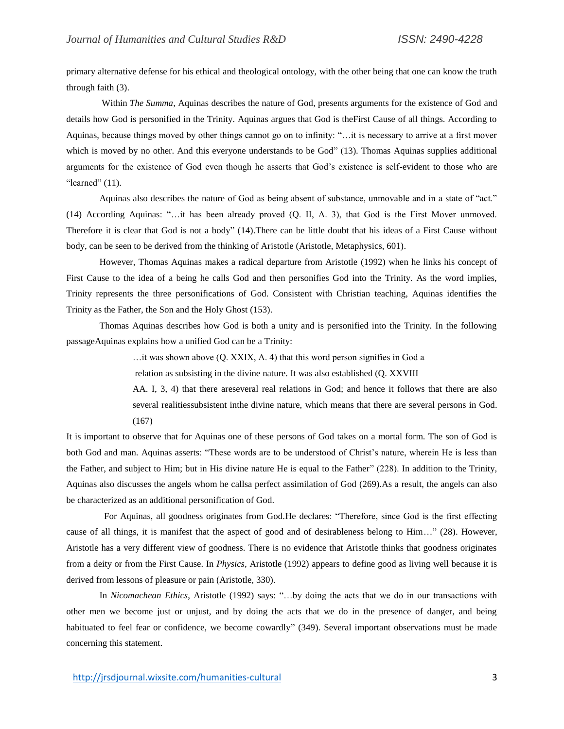primary alternative defense for his ethical and theological ontology, with the other being that one can know the truth through faith (3).

Within *The Summa,* Aquinas describes the nature of God, presents arguments for the existence of God and details how God is personified in the Trinity. Aquinas argues that God is theFirst Cause of all things. According to Aquinas, because things moved by other things cannot go on to infinity: "…it is necessary to arrive at a first mover which is moved by no other. And this everyone understands to be God" (13). Thomas Aquinas supplies additional arguments for the existence of God even though he asserts that God's existence is self-evident to those who are "learned"  $(11)$ .

Aquinas also describes the nature of God as being absent of substance, unmovable and in a state of "act." (14) According Aquinas: "…it has been already proved (Q. II, A. 3), that God is the First Mover unmoved. Therefore it is clear that God is not a body" (14).There can be little doubt that his ideas of a First Cause without body, can be seen to be derived from the thinking of Aristotle (Aristotle, Metaphysics, 601).

However, Thomas Aquinas makes a radical departure from Aristotle (1992) when he links his concept of First Cause to the idea of a being he calls God and then personifies God into the Trinity. As the word implies, Trinity represents the three personifications of God. Consistent with Christian teaching, Aquinas identifies the Trinity as the Father, the Son and the Holy Ghost (153).

Thomas Aquinas describes how God is both a unity and is personified into the Trinity. In the following passageAquinas explains how a unified God can be a Trinity:

…it was shown above (Q. XXIX, A. 4) that this word person signifies in God a

relation as subsisting in the divine nature. It was also established (Q. XXVIII

AA. I, 3, 4) that there areseveral real relations in God; and hence it follows that there are also several realitiessubsistent inthe divine nature, which means that there are several persons in God. (167)

It is important to observe that for Aquinas one of these persons of God takes on a mortal form. The son of God is both God and man. Aquinas asserts: "These words are to be understood of Christ's nature, wherein He is less than the Father, and subject to Him; but in His divine nature He is equal to the Father" (228). In addition to the Trinity, Aquinas also discusses the angels whom he callsa perfect assimilation of God (269).As a result, the angels can also be characterized as an additional personification of God.

 For Aquinas, all goodness originates from God.He declares: "Therefore, since God is the first effecting cause of all things, it is manifest that the aspect of good and of desirableness belong to Him…" (28). However, Aristotle has a very different view of goodness. There is no evidence that Aristotle thinks that goodness originates from a deity or from the First Cause. In *Physics,* Aristotle (1992) appears to define good as living well because it is derived from lessons of pleasure or pain (Aristotle, 330).

In *Nicomachean Ethics*, Aristotle (1992) says: "...by doing the acts that we do in our transactions with other men we become just or unjust, and by doing the acts that we do in the presence of danger, and being habituated to feel fear or confidence, we become cowardly" (349). Several important observations must be made concerning this statement.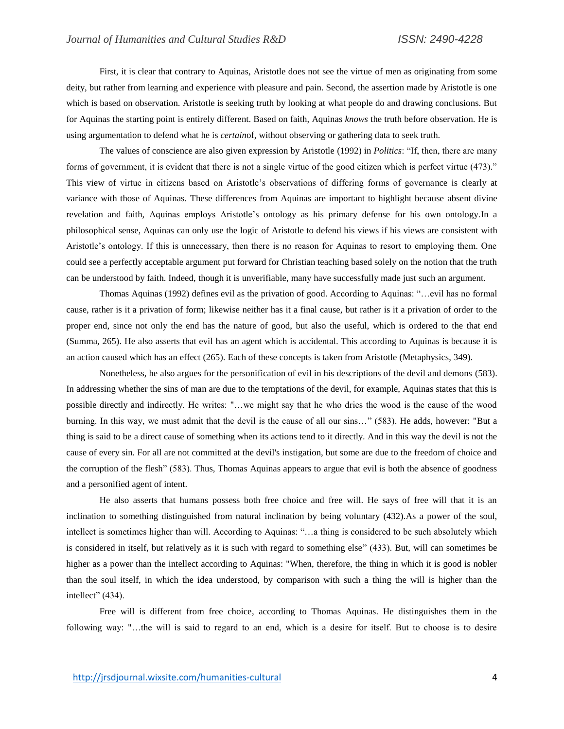First, it is clear that contrary to Aquinas, Aristotle does not see the virtue of men as originating from some deity, but rather from learning and experience with pleasure and pain. Second, the assertion made by Aristotle is one which is based on observation. Aristotle is seeking truth by looking at what people do and drawing conclusions. But for Aquinas the starting point is entirely different. Based on faith, Aquinas *knows* the truth before observation. He is using argumentation to defend what he is *certain*of, without observing or gathering data to seek truth.

The values of conscience are also given expression by Aristotle (1992) in *Politics*: "If, then, there are many forms of government, it is evident that there is not a single virtue of the good citizen which is perfect virtue (473)." This view of virtue in citizens based on Aristotle's observations of differing forms of governance is clearly at variance with those of Aquinas. These differences from Aquinas are important to highlight because absent divine revelation and faith, Aquinas employs Aristotle's ontology as his primary defense for his own ontology.In a philosophical sense, Aquinas can only use the logic of Aristotle to defend his views if his views are consistent with Aristotle's ontology. If this is unnecessary, then there is no reason for Aquinas to resort to employing them. One could see a perfectly acceptable argument put forward for Christian teaching based solely on the notion that the truth can be understood by faith. Indeed, though it is unverifiable, many have successfully made just such an argument.

Thomas Aquinas (1992) defines evil as the privation of good. According to Aquinas: "…evil has no formal cause, rather is it a privation of form; likewise neither has it a final cause, but rather is it a privation of order to the proper end, since not only the end has the nature of good, but also the useful, which is ordered to the that end (Summa, 265). He also asserts that evil has an agent which is accidental. This according to Aquinas is because it is an action caused which has an effect (265). Each of these concepts is taken from Aristotle (Metaphysics, 349).

Nonetheless, he also argues for the personification of evil in his descriptions of the devil and demons (583). In addressing whether the sins of man are due to the temptations of the devil, for example, Aquinas states that this is possible directly and indirectly. He writes: "…we might say that he who dries the wood is the cause of the wood burning. In this way, we must admit that the devil is the cause of all our sins…" (583). He adds, however: "But a thing is said to be a direct cause of something when its actions tend to it directly. And in this way the devil is not the cause of every sin. For all are not committed at the devil's instigation, but some are due to the freedom of choice and the corruption of the flesh" (583). Thus, Thomas Aquinas appears to argue that evil is both the absence of goodness and a personified agent of intent.

He also asserts that humans possess both free choice and free will. He says of free will that it is an inclination to something distinguished from natural inclination by being voluntary (432).As a power of the soul, intellect is sometimes higher than will. According to Aquinas: "…a thing is considered to be such absolutely which is considered in itself, but relatively as it is such with regard to something else" (433). But, will can sometimes be higher as a power than the intellect according to Aquinas: "When, therefore, the thing in which it is good is nobler than the soul itself, in which the idea understood, by comparison with such a thing the will is higher than the intellect" (434).

Free will is different from free choice, according to Thomas Aquinas. He distinguishes them in the following way: "…the will is said to regard to an end, which is a desire for itself. But to choose is to desire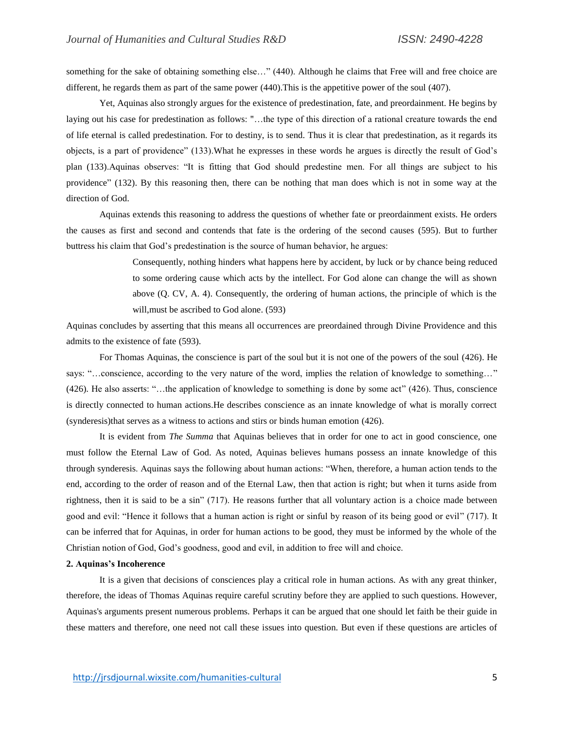something for the sake of obtaining something else..." (440). Although he claims that Free will and free choice are different, he regards them as part of the same power (440).This is the appetitive power of the soul (407).

Yet, Aquinas also strongly argues for the existence of predestination, fate, and preordainment. He begins by laying out his case for predestination as follows: "…the type of this direction of a rational creature towards the end of life eternal is called predestination. For to destiny, is to send. Thus it is clear that predestination, as it regards its objects, is a part of providence" (133).What he expresses in these words he argues is directly the result of God's plan (133).Aquinas observes: "It is fitting that God should predestine men. For all things are subject to his providence" (132). By this reasoning then, there can be nothing that man does which is not in some way at the direction of God.

Aquinas extends this reasoning to address the questions of whether fate or preordainment exists. He orders the causes as first and second and contends that fate is the ordering of the second causes (595). But to further buttress his claim that God's predestination is the source of human behavior, he argues:

> Consequently, nothing hinders what happens here by accident, by luck or by chance being reduced to some ordering cause which acts by the intellect. For God alone can change the will as shown above (Q. CV, A. 4). Consequently, the ordering of human actions, the principle of which is the will,must be ascribed to God alone. (593)

Aquinas concludes by asserting that this means all occurrences are preordained through Divine Providence and this admits to the existence of fate (593).

For Thomas Aquinas, the conscience is part of the soul but it is not one of the powers of the soul (426). He says: "…conscience, according to the very nature of the word, implies the relation of knowledge to something…" (426). He also asserts: "…the application of knowledge to something is done by some act" (426). Thus, conscience is directly connected to human actions.He describes conscience as an innate knowledge of what is morally correct (synderesis)that serves as a witness to actions and stirs or binds human emotion (426).

It is evident from *The Summa* that Aquinas believes that in order for one to act in good conscience, one must follow the Eternal Law of God. As noted, Aquinas believes humans possess an innate knowledge of this through synderesis. Aquinas says the following about human actions: "When, therefore, a human action tends to the end, according to the order of reason and of the Eternal Law, then that action is right; but when it turns aside from rightness, then it is said to be a sin" (717). He reasons further that all voluntary action is a choice made between good and evil: "Hence it follows that a human action is right or sinful by reason of its being good or evil" (717). It can be inferred that for Aquinas, in order for human actions to be good, they must be informed by the whole of the Christian notion of God, God's goodness, good and evil, in addition to free will and choice.

### **2. Aquinas's Incoherence**

It is a given that decisions of consciences play a critical role in human actions. As with any great thinker, therefore, the ideas of Thomas Aquinas require careful scrutiny before they are applied to such questions. However, Aquinas's arguments present numerous problems. Perhaps it can be argued that one should let faith be their guide in these matters and therefore, one need not call these issues into question. But even if these questions are articles of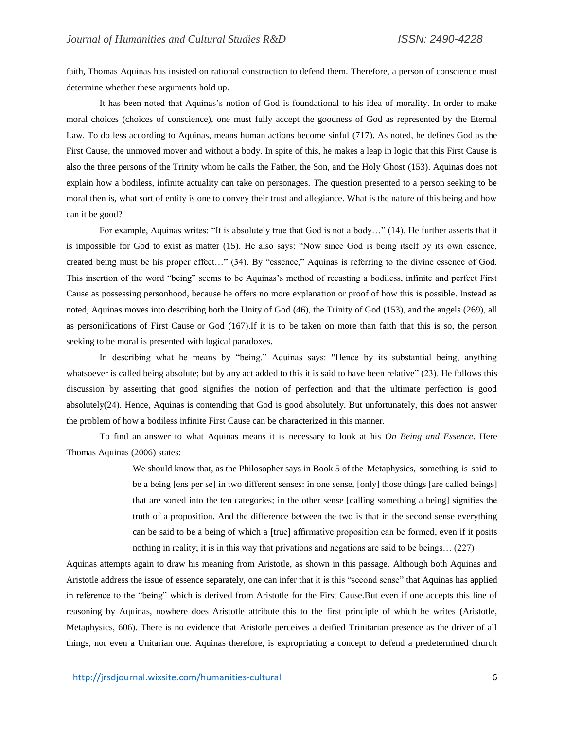faith, Thomas Aquinas has insisted on rational construction to defend them. Therefore, a person of conscience must determine whether these arguments hold up.

It has been noted that Aquinas's notion of God is foundational to his idea of morality. In order to make moral choices (choices of conscience), one must fully accept the goodness of God as represented by the Eternal Law. To do less according to Aquinas, means human actions become sinful (717). As noted, he defines God as the First Cause, the unmoved mover and without a body. In spite of this, he makes a leap in logic that this First Cause is also the three persons of the Trinity whom he calls the Father, the Son, and the Holy Ghost (153). Aquinas does not explain how a bodiless, infinite actuality can take on personages. The question presented to a person seeking to be moral then is, what sort of entity is one to convey their trust and allegiance. What is the nature of this being and how can it be good?

For example, Aquinas writes: "It is absolutely true that God is not a body…" (14). He further asserts that it is impossible for God to exist as matter (15). He also says: "Now since God is being itself by its own essence, created being must be his proper effect…" (34). By "essence," Aquinas is referring to the divine essence of God. This insertion of the word "being" seems to be Aquinas's method of recasting a bodiless, infinite and perfect First Cause as possessing personhood, because he offers no more explanation or proof of how this is possible. Instead as noted, Aquinas moves into describing both the Unity of God (46), the Trinity of God (153), and the angels (269), all as personifications of First Cause or God (167).If it is to be taken on more than faith that this is so, the person seeking to be moral is presented with logical paradoxes.

In describing what he means by "being." Aquinas says: "Hence by its substantial being, anything whatsoever is called being absolute; but by any act added to this it is said to have been relative" (23). He follows this discussion by asserting that good signifies the notion of perfection and that the ultimate perfection is good absolutely(24). Hence, Aquinas is contending that God is good absolutely. But unfortunately, this does not answer the problem of how a bodiless infinite First Cause can be characterized in this manner.

To find an answer to what Aquinas means it is necessary to look at his *On Being and Essence*. Here Thomas Aquinas (2006) states:

> We should know that, as the Philosopher says in Book 5 of the Metaphysics, something is said to be a being [ens per se] in two different senses: in one sense, [only] those things [are called beings] that are sorted into the ten categories; in the other sense [calling something a being] signifies the truth of a proposition. And the difference between the two is that in the second sense everything can be said to be a being of which a [true] affirmative proposition can be formed, even if it posits nothing in reality; it is in this way that privations and negations are said to be beings… (227)

Aquinas attempts again to draw his meaning from Aristotle, as shown in this passage. Although both Aquinas and Aristotle address the issue of essence separately, one can infer that it is this "second sense" that Aquinas has applied in reference to the "being" which is derived from Aristotle for the First Cause.But even if one accepts this line of reasoning by Aquinas, nowhere does Aristotle attribute this to the first principle of which he writes (Aristotle, Metaphysics, 606). There is no evidence that Aristotle perceives a deified Trinitarian presence as the driver of all things, nor even a Unitarian one. Aquinas therefore, is expropriating a concept to defend a predetermined church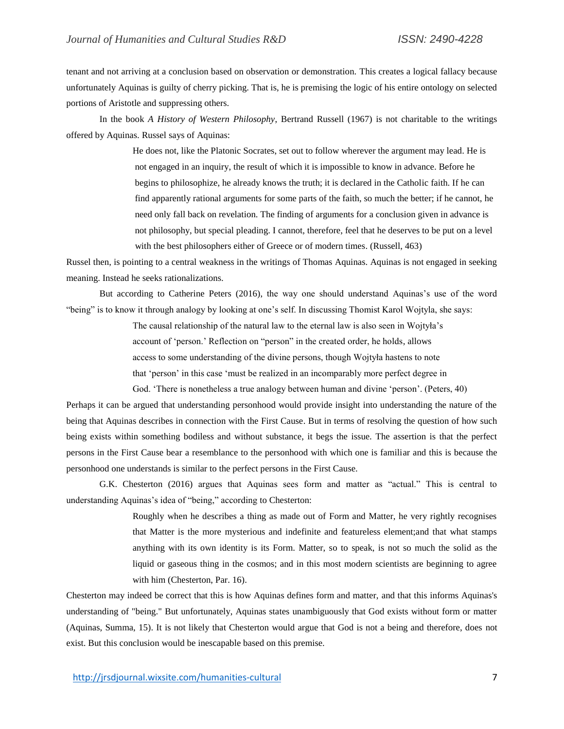tenant and not arriving at a conclusion based on observation or demonstration. This creates a logical fallacy because unfortunately Aquinas is guilty of cherry picking. That is, he is premising the logic of his entire ontology on selected portions of Aristotle and suppressing others.

In the book *A History of Western Philosophy*, Bertrand Russell (1967) is not charitable to the writings offered by Aquinas. Russel says of Aquinas:

> He does not, like the Platonic Socrates, set out to follow wherever the argument may lead. He is not engaged in an inquiry, the result of which it is impossible to know in advance. Before he begins to philosophize, he already knows the truth; it is declared in the Catholic faith. If he can find apparently rational arguments for some parts of the faith, so much the better; if he cannot, he need only fall back on revelation. The finding of arguments for a conclusion given in advance is not philosophy, but special pleading. I cannot, therefore, feel that he deserves to be put on a level with the best philosophers either of Greece or of modern times. (Russell, 463)

Russel then, is pointing to a central weakness in the writings of Thomas Aquinas. Aquinas is not engaged in seeking meaning. Instead he seeks rationalizations.

But according to Catherine Peters (2016), the way one should understand Aquinas's use of the word "being" is to know it through analogy by looking at one's self. In discussing Thomist Karol Wojtyla, she says:

> The causal relationship of the natural law to the eternal law is also seen in Wojtyła's account of 'person.' Reflection on "person" in the created order, he holds, allows access to some understanding of the divine persons, though Wojtyła hastens to note that 'person' in this case 'must be realized in an incomparably more perfect degree in God. 'There is nonetheless a true analogy between human and divine 'person'. (Peters, 40)

Perhaps it can be argued that understanding personhood would provide insight into understanding the nature of the being that Aquinas describes in connection with the First Cause. But in terms of resolving the question of how such being exists within something bodiless and without substance, it begs the issue. The assertion is that the perfect persons in the First Cause bear a resemblance to the personhood with which one is familiar and this is because the personhood one understands is similar to the perfect persons in the First Cause.

G.K. Chesterton (2016) argues that Aquinas sees form and matter as "actual." This is central to understanding Aquinas's idea of "being," according to Chesterton:

> Roughly when he describes a thing as made out of Form and Matter, he very rightly recognises that Matter is the more mysterious and indefinite and featureless element;and that what stamps anything with its own identity is its Form. Matter, so to speak, is not so much the solid as the liquid or gaseous thing in the cosmos; and in this most modern scientists are beginning to agree with him (Chesterton, Par. 16).

Chesterton may indeed be correct that this is how Aquinas defines form and matter, and that this informs Aquinas's understanding of "being." But unfortunately, Aquinas states unambiguously that God exists without form or matter (Aquinas, Summa, 15). It is not likely that Chesterton would argue that God is not a being and therefore, does not exist. But this conclusion would be inescapable based on this premise.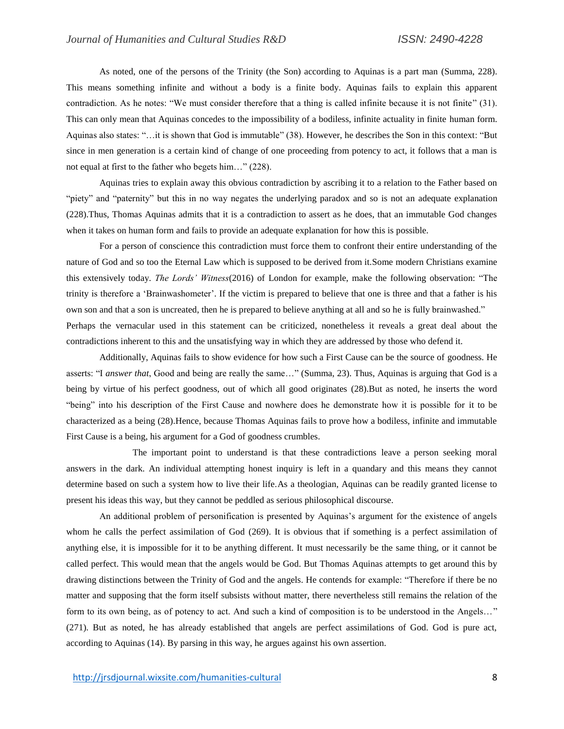As noted, one of the persons of the Trinity (the Son) according to Aquinas is a part man (Summa, 228). This means something infinite and without a body is a finite body. Aquinas fails to explain this apparent contradiction. As he notes: "We must consider therefore that a thing is called infinite because it is not finite" (31). This can only mean that Aquinas concedes to the impossibility of a bodiless, infinite actuality in finite human form. Aquinas also states: "…it is shown that God is immutable" (38). However, he describes the Son in this context: "But since in men generation is a certain kind of change of one proceeding from potency to act, it follows that a man is not equal at first to the father who begets him…" (228).

Aquinas tries to explain away this obvious contradiction by ascribing it to a relation to the Father based on "piety" and "paternity" but this in no way negates the underlying paradox and so is not an adequate explanation (228).Thus, Thomas Aquinas admits that it is a contradiction to assert as he does, that an immutable God changes when it takes on human form and fails to provide an adequate explanation for how this is possible.

For a person of conscience this contradiction must force them to confront their entire understanding of the nature of God and so too the Eternal Law which is supposed to be derived from it.Some modern Christians examine this extensively today. *The Lords' Witness*(2016) of London for example, make the following observation: "The trinity is therefore a 'Brainwashometer'. If the victim is prepared to believe that one is three and that a father is his own son and that a son is uncreated, then he is prepared to believe anything at all and so he is fully brainwashed." Perhaps the vernacular used in this statement can be criticized, nonetheless it reveals a great deal about the contradictions inherent to this and the unsatisfying way in which they are addressed by those who defend it.

Additionally, Aquinas fails to show evidence for how such a First Cause can be the source of goodness. He asserts: "I *answer that*, Good and being are really the same…" (Summa, 23). Thus, Aquinas is arguing that God is a being by virtue of his perfect goodness, out of which all good originates (28).But as noted, he inserts the word "being" into his description of the First Cause and nowhere does he demonstrate how it is possible for it to be characterized as a being (28).Hence, because Thomas Aquinas fails to prove how a bodiless, infinite and immutable First Cause is a being, his argument for a God of goodness crumbles.

The important point to understand is that these contradictions leave a person seeking moral answers in the dark. An individual attempting honest inquiry is left in a quandary and this means they cannot determine based on such a system how to live their life.As a theologian, Aquinas can be readily granted license to present his ideas this way, but they cannot be peddled as serious philosophical discourse.

An additional problem of personification is presented by Aquinas's argument for the existence of angels whom he calls the perfect assimilation of God (269). It is obvious that if something is a perfect assimilation of anything else, it is impossible for it to be anything different. It must necessarily be the same thing, or it cannot be called perfect. This would mean that the angels would be God. But Thomas Aquinas attempts to get around this by drawing distinctions between the Trinity of God and the angels. He contends for example: "Therefore if there be no matter and supposing that the form itself subsists without matter, there nevertheless still remains the relation of the form to its own being, as of potency to act. And such a kind of composition is to be understood in the Angels…" (271). But as noted, he has already established that angels are perfect assimilations of God. God is pure act, according to Aquinas (14). By parsing in this way, he argues against his own assertion.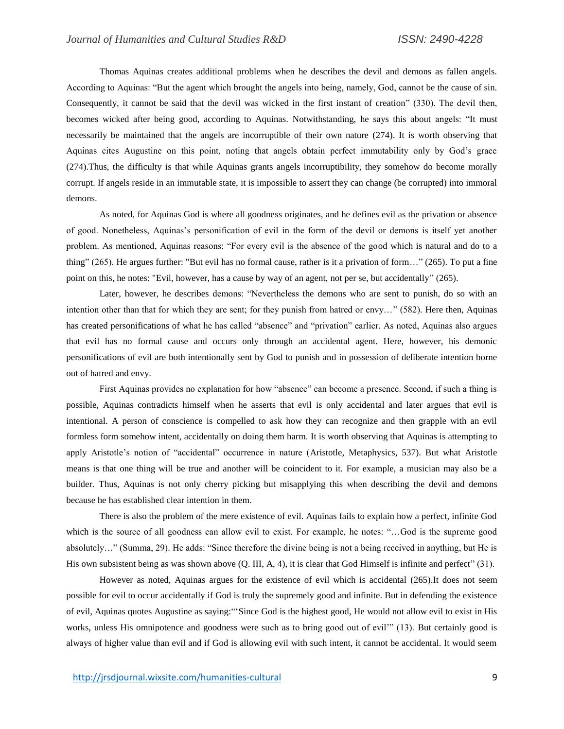Thomas Aquinas creates additional problems when he describes the devil and demons as fallen angels. According to Aquinas: "But the agent which brought the angels into being, namely, God, cannot be the cause of sin. Consequently, it cannot be said that the devil was wicked in the first instant of creation" (330). The devil then, becomes wicked after being good, according to Aquinas. Notwithstanding, he says this about angels: "It must necessarily be maintained that the angels are incorruptible of their own nature (274). It is worth observing that Aquinas cites Augustine on this point, noting that angels obtain perfect immutability only by God's grace (274).Thus, the difficulty is that while Aquinas grants angels incorruptibility, they somehow do become morally corrupt. If angels reside in an immutable state, it is impossible to assert they can change (be corrupted) into immoral demons.

As noted, for Aquinas God is where all goodness originates, and he defines evil as the privation or absence of good. Nonetheless, Aquinas's personification of evil in the form of the devil or demons is itself yet another problem. As mentioned, Aquinas reasons: "For every evil is the absence of the good which is natural and do to a thing" (265). He argues further: "But evil has no formal cause, rather is it a privation of form…" (265). To put a fine point on this, he notes: "Evil, however, has a cause by way of an agent, not per se, but accidentally" (265).

Later, however, he describes demons: "Nevertheless the demons who are sent to punish, do so with an intention other than that for which they are sent; for they punish from hatred or envy…" (582). Here then, Aquinas has created personifications of what he has called "absence" and "privation" earlier. As noted, Aquinas also argues that evil has no formal cause and occurs only through an accidental agent. Here, however, his demonic personifications of evil are both intentionally sent by God to punish and in possession of deliberate intention borne out of hatred and envy.

First Aquinas provides no explanation for how "absence" can become a presence. Second, if such a thing is possible, Aquinas contradicts himself when he asserts that evil is only accidental and later argues that evil is intentional. A person of conscience is compelled to ask how they can recognize and then grapple with an evil formless form somehow intent, accidentally on doing them harm. It is worth observing that Aquinas is attempting to apply Aristotle's notion of "accidental" occurrence in nature (Aristotle, Metaphysics, 537). But what Aristotle means is that one thing will be true and another will be coincident to it. For example, a musician may also be a builder. Thus, Aquinas is not only cherry picking but misapplying this when describing the devil and demons because he has established clear intention in them.

There is also the problem of the mere existence of evil. Aquinas fails to explain how a perfect, infinite God which is the source of all goodness can allow evil to exist. For example, he notes: "...God is the supreme good absolutely…" (Summa, 29). He adds: "Since therefore the divine being is not a being received in anything, but He is His own subsistent being as was shown above (Q. III, A, 4), it is clear that God Himself is infinite and perfect" (31).

However as noted, Aquinas argues for the existence of evil which is accidental (265).It does not seem possible for evil to occur accidentally if God is truly the supremely good and infinite. But in defending the existence of evil, Aquinas quotes Augustine as saying:"'Since God is the highest good, He would not allow evil to exist in His works, unless His omnipotence and goodness were such as to bring good out of evil<sup>11</sup> (13). But certainly good is always of higher value than evil and if God is allowing evil with such intent, it cannot be accidental. It would seem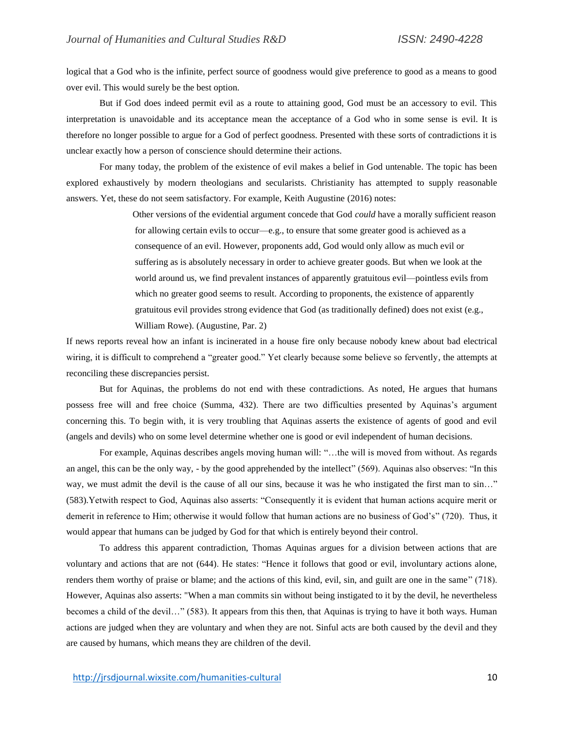logical that a God who is the infinite, perfect source of goodness would give preference to good as a means to good over evil. This would surely be the best option.

But if God does indeed permit evil as a route to attaining good, God must be an accessory to evil. This interpretation is unavoidable and its acceptance mean the acceptance of a God who in some sense is evil. It is therefore no longer possible to argue for a God of perfect goodness. Presented with these sorts of contradictions it is unclear exactly how a person of conscience should determine their actions.

For many today, the problem of the existence of evil makes a belief in God untenable. The topic has been explored exhaustively by modern theologians and secularists. Christianity has attempted to supply reasonable answers. Yet, these do not seem satisfactory. For example, Keith Augustine (2016) notes:

> Other versions of the evidential argument concede that God *could* have a morally sufficient reason for allowing certain evils to occur—e.g., to ensure that some greater good is achieved as a consequence of an evil. However, proponents add, God would only allow as much evil or suffering as is absolutely necessary in order to achieve greater goods. But when we look at the world around us, we find prevalent instances of apparently gratuitous evil—pointless evils from which no greater good seems to result. According to proponents, the existence of apparently gratuitous evil provides strong evidence that God (as traditionally defined) does not exist (e.g., William Rowe). (Augustine, Par. 2)

If news reports reveal how an infant is incinerated in a house fire only because nobody knew about bad electrical wiring, it is difficult to comprehend a "greater good." Yet clearly because some believe so fervently, the attempts at reconciling these discrepancies persist.

But for Aquinas, the problems do not end with these contradictions. As noted, He argues that humans possess free will and free choice (Summa, 432). There are two difficulties presented by Aquinas's argument concerning this. To begin with, it is very troubling that Aquinas asserts the existence of agents of good and evil (angels and devils) who on some level determine whether one is good or evil independent of human decisions.

For example, Aquinas describes angels moving human will: "…the will is moved from without. As regards an angel, this can be the only way, - by the good apprehended by the intellect" (569). Aquinas also observes: "In this way, we must admit the devil is the cause of all our sins, because it was he who instigated the first man to sin..." (583).Yetwith respect to God, Aquinas also asserts: "Consequently it is evident that human actions acquire merit or demerit in reference to Him; otherwise it would follow that human actions are no business of God's" (720). Thus, it would appear that humans can be judged by God for that which is entirely beyond their control.

To address this apparent contradiction, Thomas Aquinas argues for a division between actions that are voluntary and actions that are not (644). He states: "Hence it follows that good or evil, involuntary actions alone, renders them worthy of praise or blame; and the actions of this kind, evil, sin, and guilt are one in the same" (718). However, Aquinas also asserts: "When a man commits sin without being instigated to it by the devil, he nevertheless becomes a child of the devil…" (583). It appears from this then, that Aquinas is trying to have it both ways. Human actions are judged when they are voluntary and when they are not. Sinful acts are both caused by the devil and they are caused by humans, which means they are children of the devil.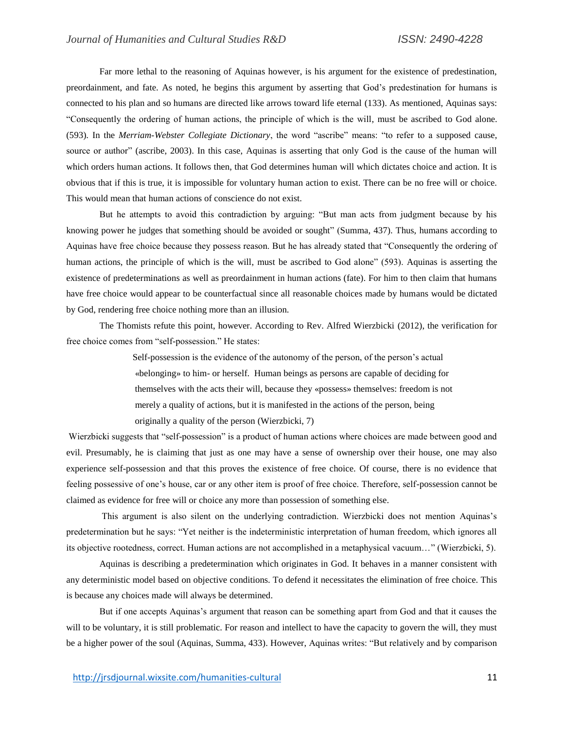Far more lethal to the reasoning of Aquinas however, is his argument for the existence of predestination, preordainment, and fate. As noted, he begins this argument by asserting that God's predestination for humans is connected to his plan and so humans are directed like arrows toward life eternal (133). As mentioned, Aquinas says: "Consequently the ordering of human actions, the principle of which is the will, must be ascribed to God alone. (593). In the *Merriam-Webster Collegiate Dictionary*, the word "ascribe" means: "to refer to a supposed cause, source or author" (ascribe, 2003). In this case, Aquinas is asserting that only God is the cause of the human will which orders human actions. It follows then, that God determines human will which dictates choice and action. It is obvious that if this is true, it is impossible for voluntary human action to exist. There can be no free will or choice. This would mean that human actions of conscience do not exist.

But he attempts to avoid this contradiction by arguing: "But man acts from judgment because by his knowing power he judges that something should be avoided or sought" (Summa, 437). Thus, humans according to Aquinas have free choice because they possess reason. But he has already stated that "Consequently the ordering of human actions, the principle of which is the will, must be ascribed to God alone" (593). Aquinas is asserting the existence of predeterminations as well as preordainment in human actions (fate). For him to then claim that humans have free choice would appear to be counterfactual since all reasonable choices made by humans would be dictated by God, rendering free choice nothing more than an illusion.

The Thomists refute this point, however. According to Rev. Alfred Wierzbicki (2012), the verification for free choice comes from "self-possession." He states:

> Self-possession is the evidence of the autonomy of the person, of the person's actual «belonging» to him- or herself. Human beings as persons are capable of deciding for themselves with the acts their will, because they «possess» themselves: freedom is not merely a quality of actions, but it is manifested in the actions of the person, being originally a quality of the person (Wierzbicki, 7)

Wierzbicki suggests that "self-possession" is a product of human actions where choices are made between good and evil. Presumably, he is claiming that just as one may have a sense of ownership over their house, one may also experience self-possession and that this proves the existence of free choice. Of course, there is no evidence that feeling possessive of one's house, car or any other item is proof of free choice. Therefore, self-possession cannot be claimed as evidence for free will or choice any more than possession of something else.

This argument is also silent on the underlying contradiction. Wierzbicki does not mention Aquinas's predetermination but he says: "Yet neither is the indeterministic interpretation of human freedom, which ignores all its objective rootedness, correct. Human actions are not accomplished in a metaphysical vacuum…" (Wierzbicki, 5).

Aquinas is describing a predetermination which originates in God. It behaves in a manner consistent with any deterministic model based on objective conditions. To defend it necessitates the elimination of free choice. This is because any choices made will always be determined.

But if one accepts Aquinas's argument that reason can be something apart from God and that it causes the will to be voluntary, it is still problematic. For reason and intellect to have the capacity to govern the will, they must be a higher power of the soul (Aquinas, Summa, 433). However, Aquinas writes: "But relatively and by comparison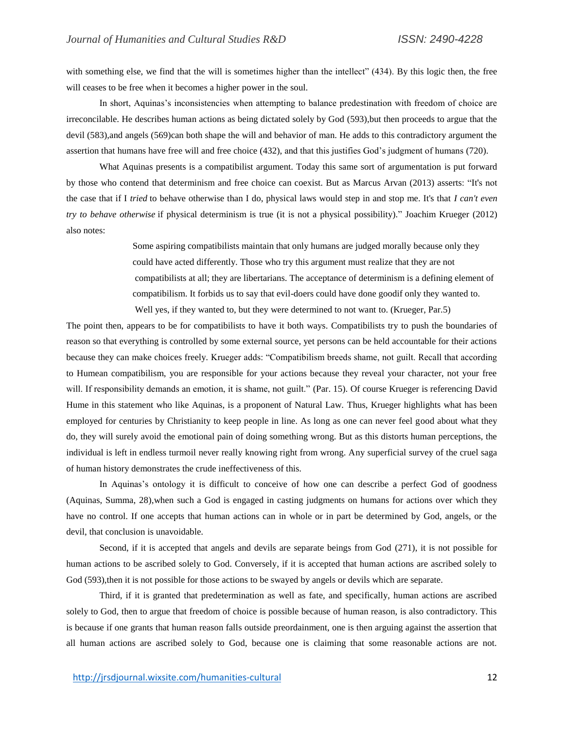with something else, we find that the will is sometimes higher than the intellect" (434). By this logic then, the free will ceases to be free when it becomes a higher power in the soul.

In short, Aquinas's inconsistencies when attempting to balance predestination with freedom of choice are irreconcilable. He describes human actions as being dictated solely by God (593),but then proceeds to argue that the devil (583), and angels (569)can both shape the will and behavior of man. He adds to this contradictory argument the assertion that humans have free will and free choice (432), and that this justifies God's judgment of humans (720).

What Aquinas presents is a compatibilist argument. Today this same sort of argumentation is put forward by those who contend that determinism and free choice can coexist. But as Marcus Arvan (2013) asserts: "It's not the case that if I *tried* to behave otherwise than I do, physical laws would step in and stop me. It's that *I can't even try to behave otherwise* if physical determinism is true (it is not a physical possibility)." Joachim Krueger (2012) also notes:

> Some aspiring compatibilists maintain that only humans are judged morally because only they could have acted differently. Those who try this argument must realize that they are not compatibilists at all; they are libertarians. The acceptance of determinism is a defining element of compatibilism. It forbids us to say that evil-doers could have done goodif only they wanted to. Well yes, if they wanted to, but they were determined to not want to. (Krueger, Par.5)

The point then, appears to be for compatibilists to have it both ways. Compatibilists try to push the boundaries of reason so that everything is controlled by some external source, yet persons can be held accountable for their actions because they can make choices freely. Krueger adds: "Compatibilism breeds shame, not guilt. Recall that according to Humean compatibilism, you are responsible for your actions because they reveal your character, not your free will. If responsibility demands an emotion, it is shame, not guilt." (Par. 15). Of course Krueger is referencing David Hume in this statement who like Aquinas, is a proponent of Natural Law. Thus, Krueger highlights what has been employed for centuries by Christianity to keep people in line. As long as one can never feel good about what they do, they will surely avoid the emotional pain of doing something wrong. But as this distorts human perceptions, the individual is left in endless turmoil never really knowing right from wrong. Any superficial survey of the cruel saga of human history demonstrates the crude ineffectiveness of this.

In Aquinas's ontology it is difficult to conceive of how one can describe a perfect God of goodness (Aquinas, Summa, 28),when such a God is engaged in casting judgments on humans for actions over which they have no control. If one accepts that human actions can in whole or in part be determined by God, angels, or the devil, that conclusion is unavoidable.

Second, if it is accepted that angels and devils are separate beings from God (271), it is not possible for human actions to be ascribed solely to God. Conversely, if it is accepted that human actions are ascribed solely to God (593), then it is not possible for those actions to be swayed by angels or devils which are separate.

Third, if it is granted that predetermination as well as fate, and specifically, human actions are ascribed solely to God, then to argue that freedom of choice is possible because of human reason, is also contradictory. This is because if one grants that human reason falls outside preordainment, one is then arguing against the assertion that all human actions are ascribed solely to God, because one is claiming that some reasonable actions are not.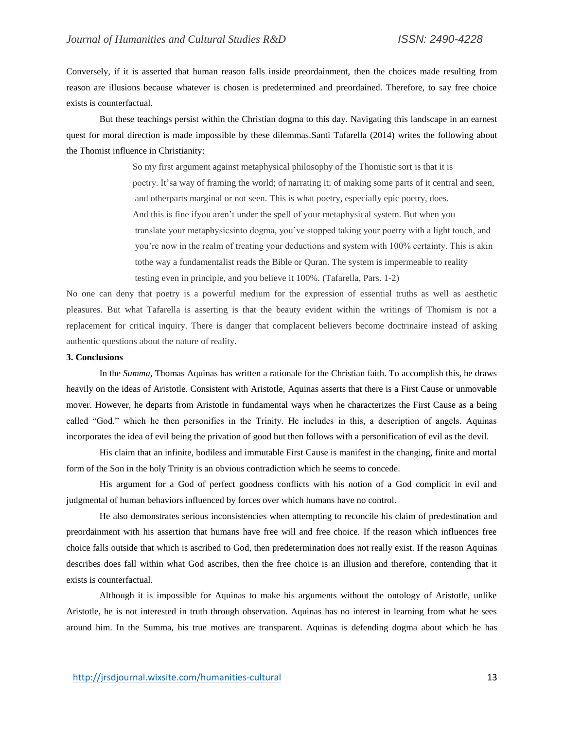Conversely, if it is asserted that human reason falls inside preordainment, then the choices made resulting from reason are illusions because whatever is chosen is predetermined and preordained. Therefore, to say free choice exists is counterfactual.

But these teachings persist within the Christian dogma to this day. Navigating this landscape in an earnest quest for moral direction is made impossible by these dilemmas.Santi Tafarella (2014) writes the following about the Thomist influence in Christianity:

> So my first argument against metaphysical philosophy of the Thomistic sort is that it is poetry. It'sa way of framing the world; of narrating it; of making some parts of it central and seen, and otherparts marginal or not seen. This is what poetry, especially epic poetry, does. And this is fine ifyou aren't under the spell of your metaphysical system. But when you translate your metaphysicsinto dogma, you've stopped taking your poetry with a light touch, and you're now in the realm of treating your deductions and system with 100% certainty. This is akin tothe way a fundamentalist reads the Bible or Quran. The system is impermeable to reality testing even in principle, and you believe it 100%. (Tafarella, Pars. 1-2)

No one can deny that poetry is a powerful medium for the expression of essential truths as well as aesthetic pleasures. But what Tafarella is asserting is that the beauty evident within the writings of Thomism is not a replacement for critical inquiry. There is danger that complacent believers become doctrinaire instead of asking authentic questions about the nature of reality.

#### **3. Conclusions**

In the *Summa*, Thomas Aquinas has written a rationale for the Christian faith. To accomplish this, he draws heavily on the ideas of Aristotle. Consistent with Aristotle, Aquinas asserts that there is a First Cause or unmovable mover. However, he departs from Aristotle in fundamental ways when he characterizes the First Cause as a being called "God," which he then personifies in the Trinity. He includes in this, a description of angels. Aquinas incorporates the idea of evil being the privation of good but then follows with a personification of evil as the devil.

His claim that an infinite, bodiless and immutable First Cause is manifest in the changing, finite and mortal form of the Son in the holy Trinity is an obvious contradiction which he seems to concede.

His argument for a God of perfect goodness conflicts with his notion of a God complicit in evil and judgmental of human behaviors influenced by forces over which humans have no control.

He also demonstrates serious inconsistencies when attempting to reconcile his claim of predestination and preordainment with his assertion that humans have free will and free choice. If the reason which influences free choice falls outside that which is ascribed to God, then predetermination does not really exist. If the reason Aquinas describes does fall within what God ascribes, then the free choice is an illusion and therefore, contending that it exists is counterfactual.

Although it is impossible for Aquinas to make his arguments without the ontology of Aristotle, unlike Aristotle, he is not interested in truth through observation. Aquinas has no interest in learning from what he sees around him. In the Summa, his true motives are transparent. Aquinas is defending dogma about which he has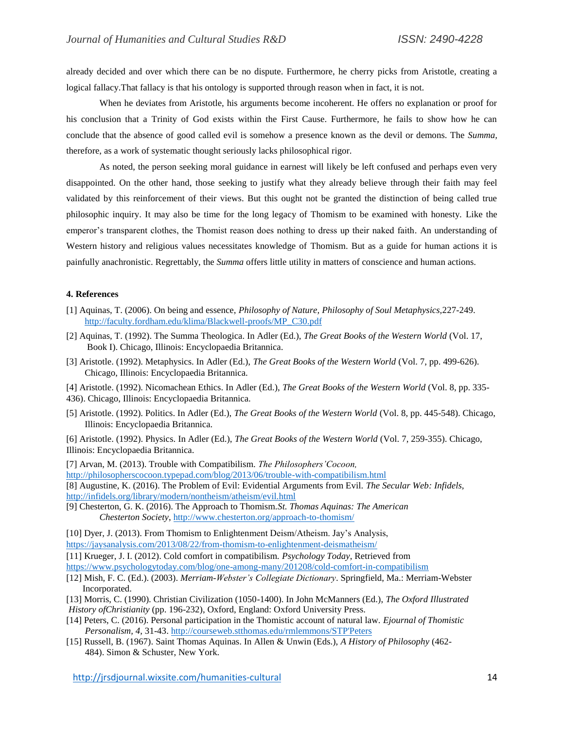already decided and over which there can be no dispute. Furthermore, he cherry picks from Aristotle, creating a logical fallacy.That fallacy is that his ontology is supported through reason when in fact, it is not.

When he deviates from Aristotle, his arguments become incoherent. He offers no explanation or proof for his conclusion that a Trinity of God exists within the First Cause. Furthermore, he fails to show how he can conclude that the absence of good called evil is somehow a presence known as the devil or demons. The *Summa,* therefore, as a work of systematic thought seriously lacks philosophical rigor.

As noted, the person seeking moral guidance in earnest will likely be left confused and perhaps even very disappointed. On the other hand, those seeking to justify what they already believe through their faith may feel validated by this reinforcement of their views. But this ought not be granted the distinction of being called true philosophic inquiry. It may also be time for the long legacy of Thomism to be examined with honesty. Like the emperor's transparent clothes, the Thomist reason does nothing to dress up their naked faith. An understanding of Western history and religious values necessitates knowledge of Thomism. But as a guide for human actions it is painfully anachronistic. Regrettably, the *Summa* offers little utility in matters of conscience and human actions.

## **4. References**

- [1] Aquinas, T. (2006). On being and essence, *Philosophy of Nature, Philosophy of Soul Metaphysics,*227-249. [http://faculty.fordham.edu/klima/Blackwell-proofs/MP\\_C30.pdf](http://faculty.fordham.edu/klima/Blackwell-proofs/MP_C30.pdf)
- [2] Aquinas, T. (1992). The Summa Theologica. In Adler (Ed.), *The Great Books of the Western World* (Vol. 17, Book I). Chicago, Illinois: Encyclopaedia Britannica.
- [3] Aristotle. (1992). Metaphysics. In Adler (Ed.), *The Great Books of the Western World* (Vol. 7, pp. 499-626). Chicago, Illinois: Encyclopaedia Britannica.
- [4] Aristotle. (1992). Nicomachean Ethics. In Adler (Ed.), *The Great Books of the Western World* (Vol. 8, pp. 335-
- 436). Chicago, Illinois: Encyclopaedia Britannica.
- [5] Aristotle. (1992). Politics. In Adler (Ed.), *The Great Books of the Western World* (Vol. 8, pp. 445-548). Chicago, Illinois: Encyclopaedia Britannica.

[6] Aristotle. (1992). Physics. In Adler (Ed.), *The Great Books of the Western World* (Vol. 7, 259-355). Chicago, Illinois: Encyclopaedia Britannica.

[7] Arvan, M. (2013). Trouble with Compatibilism. *The Philosophers'Cocoon,* <http://philosopherscocoon.typepad.com/blog/2013/06/trouble-with-compatibilism.html> [8] Augustine, K. (2016). The Problem of Evil: Evidential Arguments from Evil. *The Secular Web: Infidels,* <http://infidels.org/library/modern/nontheism/atheism/evil.html>

[9] Chesterton, G. K. (2016). The Approach to Thomism.*St. Thomas Aquinas: The American Chesterton Society*,<http://www.chesterton.org/approach-to-thomism/>

[10] Dyer, J. (2013). From Thomism to Enlightenment Deism/Atheism. Jay's Analysis,

<https://jaysanalysis.com/2013/08/22/from-thomism-to-enlightenment-deismatheism/>

[11] Krueger, J. I. (2012). Cold comfort in compatibilism. *Psychology Today*, Retrieved from <https://www.psychologytoday.com/blog/one-among-many/201208/cold-comfort-in-compatibilism>

- [12] Mish, F. C. (Ed.). (2003). *Merriam-Webster's Collegiate Dictionary*. Springfield, Ma.: Merriam-Webster Incorporated.
- [13] Morris, C. (1990). Christian Civilization (1050-1400). In John McManners (Ed.), *The Oxford Illustrated*

*History ofChristianity* (pp. 196-232), Oxford, England: Oxford University Press.

- [14] Peters, C. (2016). Personal participation in the Thomistic account of natural law. *Ejournal of Thomistic Personalism, 4,* 31-43[. http://courseweb.stthomas.edu/rmlemmons/STP'Peters](http://courseweb.stthomas.edu/rmlemmons/STP)
- [15] Russell, B. (1967). Saint Thomas Aquinas. In Allen & Unwin (Eds.), *A History of Philosophy* (462- 484). Simon & Schuster, New York.

<http://jrsdjournal.wixsite.com/humanities-cultural> 14